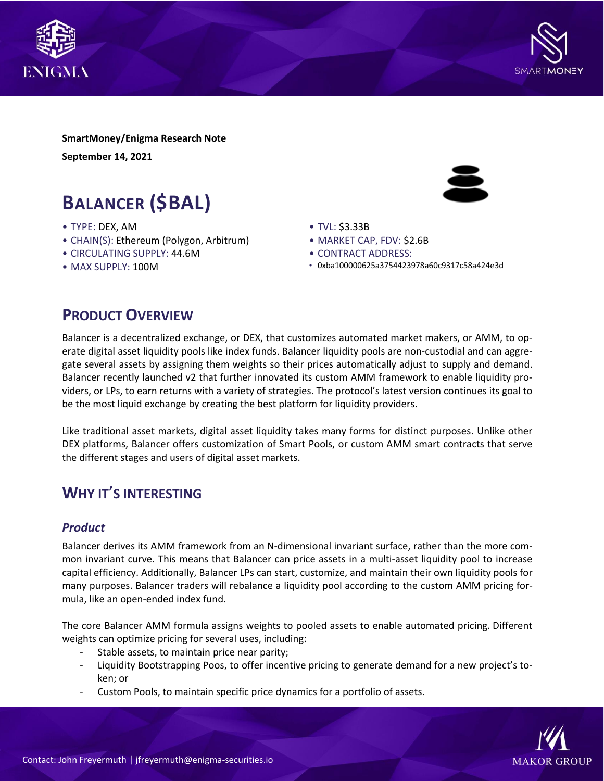



**SmartMoney/Enigma Research Note September 14, 2021**

# **BALANCER (\$BAL)**

- TYPE: DEX, AM
- CHAIN(S): Ethereum (Polygon, Arbitrum)
- CIRCULATING SUPPLY: 44.6M
- MAX SUPPLY: 100M



- TVL: \$3.33B
- MARKET CAP, FDV: \$2.6B
- CONTRACT ADDRESS:
- 0xba100000625a3754423978a60c9317c58a424e3d

# **PRODUCT OVERVIEW**

Balancer is a decentralized exchange, or DEX, that customizes automated market makers, or AMM, to operate digital asset liquidity pools like index funds. Balancer liquidity pools are non-custodial and can aggregate several assets by assigning them weights so their prices automatically adjust to supply and demand. Balancer recently launched v2 that further innovated its custom AMM framework to enable liquidity providers, or LPs, to earn returns with a variety of strategies. The protocol's latest version continues its goal to be the most liquid exchange by creating the best platform for liquidity providers.

Like traditional asset markets, digital asset liquidity takes many forms for distinct purposes. Unlike other DEX platforms, Balancer offers customization of Smart Pools, or custom AMM smart contracts that serve the different stages and users of digital asset markets.

# **WHY IT**'**S INTERESTING**

### *Product*

Balancer derives its AMM framework from an N-dimensional invariant surface, rather than the more common invariant curve. This means that Balancer can price assets in a multi-asset liquidity pool to increase capital efficiency. Additionally, Balancer LPs can start, customize, and maintain their own liquidity pools for many purposes. Balancer traders will rebalance a liquidity pool according to the custom AMM pricing formula, like an open-ended index fund.

The core Balancer AMM formula assigns weights to pooled assets to enable automated pricing. Different weights can optimize pricing for several uses, including:

- Stable assets, to maintain price near parity;
- Liquidity Bootstrapping Poos, to offer incentive pricing to generate demand for a new project's token; or
- Custom Pools, to maintain specific price dynamics for a portfolio of assets.

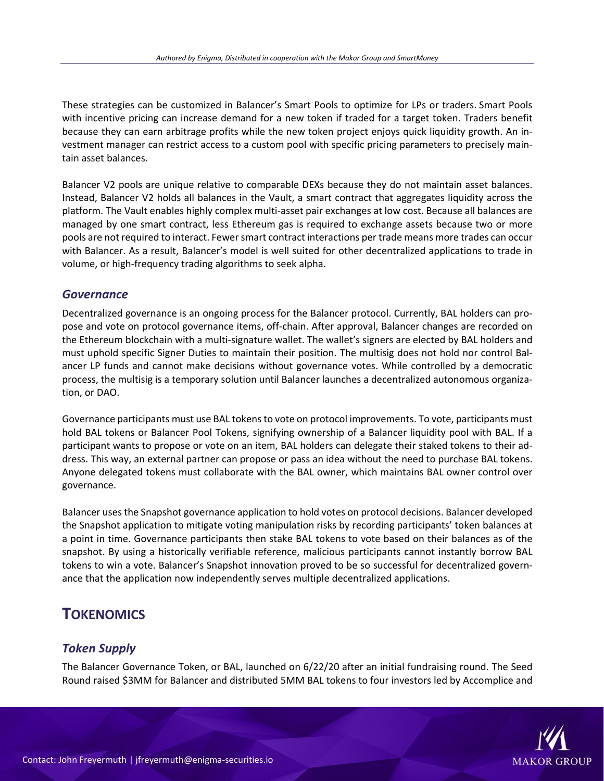These strategies can be customized in Balancer's Smart Pools to optimize for LPs or traders. Smart Pools with incentive pricing can increase demand for a new token if traded for a target token. Traders benefit because they can earn arbitrage profits while the new token project enjoys quick liquidity growth. An investment manager can restrict access to a custom pool with specific pricing parameters to precisely maintain asset balances.

Balancer V2 pools are unique relative to comparable DEXs because they do not maintain asset balances. Instead, Balancer V2 holds all balances in the Vault, a smart contract that aggregates liquidity across the platform. The Vault enables highly complex multi-asset pair exchanges at low cost. Because all balances are managed by one smart contract, less Ethereum gas is required to exchange assets because two or more pools are not required to interact. Fewer smart contract interactions per trade means more trades can occur with Balancer. As a result, Balancer's model is well suited for other decentralized applications to trade in volume, or high-frequency trading algorithms to seek alpha.

### *Governance*

Decentralized governance is an ongoing process for the Balancer protocol. Currently, BAL holders can propose and vote on protocol governance items, off-chain. After approval, Balancer changes are recorded on the Ethereum blockchain with a multi-signature wallet. The wallet's signers are elected by BAL holders and must uphold specific Signer Duties to maintain their position. The multisig does not hold nor control Balancer LP funds and cannot make decisions without governance votes. While controlled by a democratic process, the multisig is a temporary solution until Balancer launches a decentralized autonomous organization, or DAO.

Governance participants must use BAL tokensto vote on protocol improvements. To vote, participants must hold BAL tokens or Balancer Pool Tokens, signifying ownership of a Balancer liquidity pool with BAL. If a participant wants to propose or vote on an item, BAL holders can delegate their staked tokens to their address. This way, an external partner can propose or pass an idea without the need to purchase BAL tokens. Anyone delegated tokens must collaborate with the BAL owner, which maintains BAL owner control over governance.

Balancer usesthe Snapshot governance application to hold votes on protocol decisions. Balancer developed the Snapshot application to mitigate voting manipulation risks by recording participants' token balances at a point in time. Governance participants then stake BAL tokens to vote based on their balances as of the snapshot. By using a historically verifiable reference, malicious participants cannot instantly borrow BAL tokens to win a vote. Balancer's Snapshot innovation proved to be so successful for decentralized governance that the application now independently serves multiple decentralized applications.

# **TOKENOMICS**

## *Token Supply*

The Balancer Governance Token, or BAL, launched on 6/22/20 after an initial fundraising round. The Seed Round raised \$3MM for Balancer and distributed 5MM BAL tokens to four investors led by Accomplice and

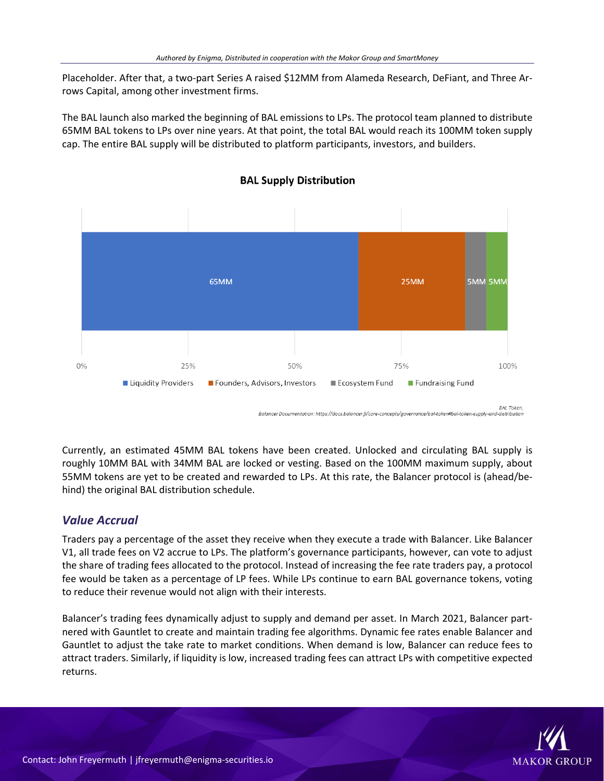Placeholder. After that, a two-part Series A raised \$12MM from Alameda Research, DeFiant, and Three Arrows Capital, among other investment firms.

The BAL launch also marked the beginning of BAL emissions to LPs. The protocol team planned to distribute 65MM BAL tokens to LPs over nine years. At that point, the total BAL would reach its 100MM token supply cap. The entire BAL supply will be distributed to platform participants, investors, and builders.



#### **BAL Supply Distribution**

Currently, an estimated 45MM BAL tokens have been created. Unlocked and circulating BAL supply is roughly 10MM BAL with 34MM BAL are locked or vesting. Based on the 100MM maximum supply, about 55MM tokens are yet to be created and rewarded to LPs. At this rate, the Balancer protocol is (ahead/behind) the original BAL distribution schedule.

## *Value Accrual*

Traders pay a percentage of the asset they receive when they execute a trade with Balancer. Like Balancer V1, all trade fees on V2 accrue to LPs. The platform's governance participants, however, can vote to adjust the share of trading fees allocated to the protocol. Instead of increasing the fee rate traders pay, a protocol fee would be taken as a percentage of LP fees. While LPs continue to earn BAL governance tokens, voting to reduce their revenue would not align with their interests.

Balancer's trading fees dynamically adjust to supply and demand per asset. In March 2021, Balancer partnered with Gauntlet to create and maintain trading fee algorithms. Dynamic fee rates enable Balancer and Gauntlet to adjust the take rate to market conditions. When demand is low, Balancer can reduce fees to attract traders. Similarly, if liquidity is low, increased trading fees can attract LPs with competitive expected returns.

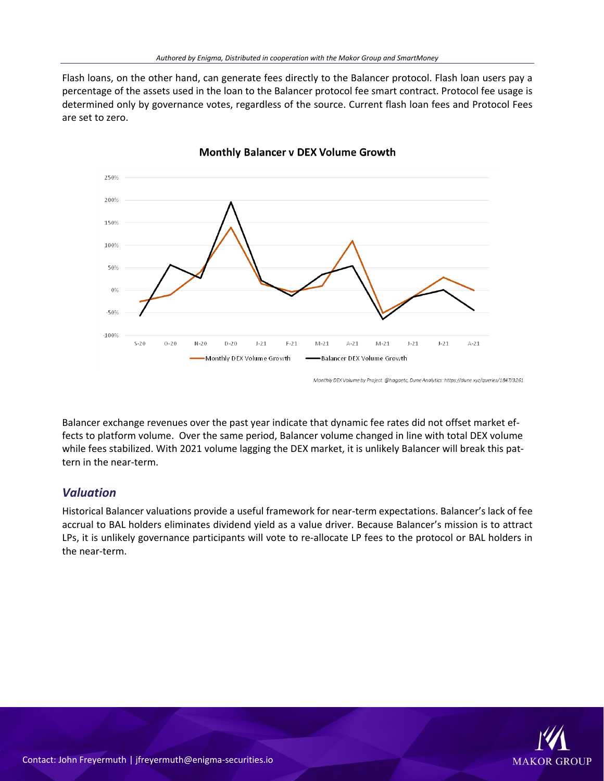Flash loans, on the other hand, can generate fees directly to the Balancer protocol. Flash loan users pay a percentage of the assets used in the loan to the Balancer protocol fee smart contract. Protocol fee usage is determined only by governance votes, regardless of the source. Current flash loan fees and Protocol Fees are set to zero.



**Monthly Balancer v DEX Volume Growth** 

Balancer exchange revenues over the past year indicate that dynamic fee rates did not offset market effects to platform volume. Over the same period, Balancer volume changed in line with total DEX volume while fees stabilized. With 2021 volume lagging the DEX market, it is unlikely Balancer will break this pattern in the near-term.

## *Valuation*

Historical Balancer valuations provide a useful framework for near-term expectations. Balancer's lack of fee accrual to BAL holders eliminates dividend yield as a value driver. Because Balancer's mission is to attract LPs, it is unlikely governance participants will vote to re-allocate LP fees to the protocol or BAL holders in the near-term.



Monthly DEX Volume by Project. @hagaetc, Dune Analytics: https://dune.xyz/queries/1847/3261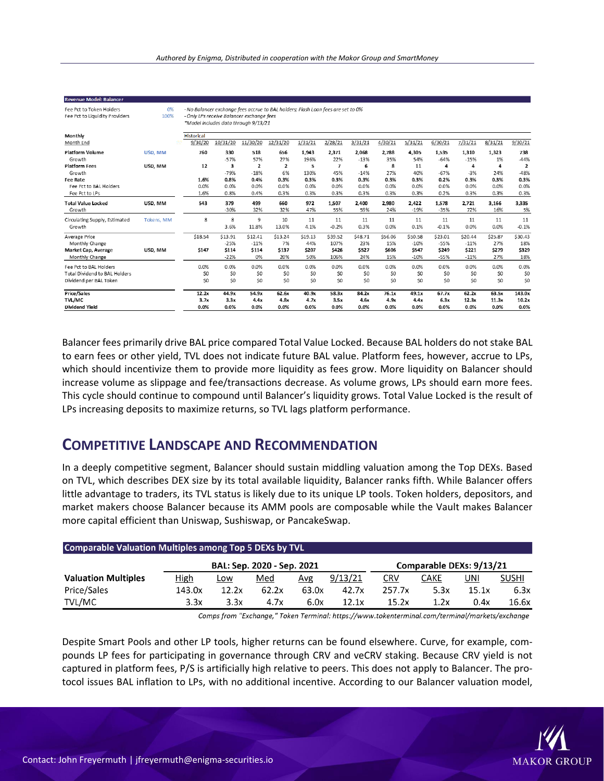| <b>Revenue Model: Balancer</b>                             |            |                                                                                                                                                                       |                       |                       |                       |                       |                       |                       |                       |                       |                       |                        |                        |                         |
|------------------------------------------------------------|------------|-----------------------------------------------------------------------------------------------------------------------------------------------------------------------|-----------------------|-----------------------|-----------------------|-----------------------|-----------------------|-----------------------|-----------------------|-----------------------|-----------------------|------------------------|------------------------|-------------------------|
| Fee Pct to Token Holders<br>Fee Pct to Liquidity Providers | 0%<br>100% | - No Balancer exchange fees accrue to BAL holders; Flash Loan fees are set to 0%<br>- Only LPs receive Balancer exchange fees<br>*Model includes data through 9/13/21 |                       |                       |                       |                       |                       |                       |                       |                       |                       |                        |                        |                         |
| Monthly                                                    |            | <b>Historical</b>                                                                                                                                                     |                       |                       |                       |                       |                       |                       |                       |                       |                       |                        |                        |                         |
| Month End                                                  |            | 9/30/20                                                                                                                                                               | 10/31/20              | 11/30/20              | 12/31/20              | 1/31/21               | 2/28/21               | 3/31/21               | 4/30/21               | 5/31/21               | 6/30/21               | 7/31/21                | 8/31/21                | 9/30/21                 |
| <b>Platform Volume</b>                                     | USD. MM    | 760                                                                                                                                                                   | 330                   | 518                   | 656                   | 1,943                 | 2.371                 | 2.068                 | 2.788                 | 4.305                 | 1.535                 | 1.310                  | 1.323                  | 738                     |
| Growth                                                     |            |                                                                                                                                                                       | $-57%$                | 57%                   | 27%                   | 196%                  | 22%                   | $-13%$                | 35%                   | 54%                   | $-64%$                | $-15%$                 | 1%                     | $-44%$                  |
| <b>Platform Fees</b>                                       | USD. MM    | 12                                                                                                                                                                    | 3                     | $\overline{2}$        | $\mathbf{2}$          | 5                     | $\overline{7}$        | 6                     | 8                     | 11                    | 4                     | 4                      | 4                      | $\overline{2}$          |
| Growth                                                     |            |                                                                                                                                                                       | $-79%$                | $-18%$                | 6%                    | 130%                  | 45%                   | $-14%$                | 27%                   | 40%                   | $-67%$                | $-3%$                  | 24%                    | $-48%$                  |
| <b>Fee Rate</b>                                            |            | 1.6%                                                                                                                                                                  | 0.8%                  | 0.4%                  | 0.3%                  | 0.3%                  | 0.3%                  | 0.3%                  | 0.3%                  | 0.3%                  | 0.2%                  | 0.3%                   | 0.3%                   | 0.3%                    |
| Fee Pct to BAL Holders                                     |            | 0.0%                                                                                                                                                                  | 0.0%                  | 0.0%                  | 0.0%                  | 0.0%                  | 0.0%                  | 0.0%                  | 0.0%                  | 0.0%                  | 0.0%                  | 0.0%                   | 0.0%                   | 0.0%                    |
| Fee Pct to LPs                                             |            | 1.6%                                                                                                                                                                  | 0.8%                  | 0.4%                  | 0.3%                  | 0.3%                  | 0.3%                  | 0.3%                  | 0.3%                  | 0.3%                  | 0.2%                  | 0.3%                   | 0.3%                   | 0.3%                    |
| <b>Total Value Locked</b><br>Growth                        | USD, MM    | 543                                                                                                                                                                   | 379<br>$-30%$         | 499<br>32%            | 660<br>32%            | 972<br>47%            | 1,507<br>55%          | 2,400<br>59%          | 2,980<br>24%          | 2,422<br>$-19%$       | 1,578<br>$-35%$       | 2,721<br>72%           | 3,166<br>16%           | 3,335<br>5%             |
| Circulating Supply, Estimated<br>Growth                    | Tokens, MM | 8                                                                                                                                                                     | 8<br>3.6%             | 9<br>11.8%            | 10<br>13.0%           | 11<br>4.1%            | 11<br>$-0.2%$         | 11<br>0.3%            | 11<br>0.0%            | 11<br>0.1%            | 11<br>$-0.1%$         | 11<br>0.0%             | 11<br>0.0%             | 11<br>$-0.1%$           |
| Average Price<br>Monthly Change                            |            | \$18.54                                                                                                                                                               | \$13.91<br>$-25%$     | \$12.41<br>$-11%$     | \$13.24<br>7%         | \$19.13<br>44%        | \$39.52<br>107%       | \$48.71<br>23%        | \$56.06<br>15%        | \$50.58<br>$-10%$     | \$23.01<br>$-55%$     | \$20.44<br>$-11%$      | \$25.87<br>27%         | \$30.43<br>18%          |
| Market Cap, Average                                        | USD, MM    | \$147                                                                                                                                                                 | \$114                 | \$114                 | \$137                 | \$207                 | \$426                 | \$527                 | \$606                 | \$547                 | \$249                 | \$221                  | \$279                  | \$329                   |
| Monthly Change                                             |            |                                                                                                                                                                       | $-22%$                | 0%                    | 20%                   | 50%                   | 106%                  | 24%                   | 15%                   | $-10%$                | $-55%$                | $-11%$                 | 27%                    | 18%                     |
| Fee Pct to BAL Holders                                     |            | 0.0%                                                                                                                                                                  | 0.0%                  | 0.0%                  | 0.0%                  | 0.0%                  | 0.0%                  | 0.0%                  | 0.0%                  | 0.0%                  | 0.0%                  | 0.0%                   | 0.0%                   | 0.0%                    |
| Total Dividend to BAL Holders                              |            | \$0                                                                                                                                                                   | \$0                   | \$0                   | \$0                   | \$0                   | \$0                   | \$0                   | \$0                   | \$0                   | \$0                   | \$0                    | \$0                    | \$0                     |
| Dividend per BAL Token                                     |            | \$0                                                                                                                                                                   | \$0                   | \$0                   | \$0                   | \$0                   | \$0                   | \$0                   | \$0                   | \$0                   | \$0                   | \$0                    | \$0                    | \$0                     |
| <b>Price/Sales</b><br>TVL/MC<br><b>Dividend Yield</b>      |            | 12.2x<br>3.7x<br>0.0%                                                                                                                                                 | 44.9x<br>3.3x<br>0.0% | 54.9x<br>4.4x<br>0.0% | 62.6x<br>4.8x<br>0.0% | 40.9x<br>4.7x<br>0.0% | 58.3x<br>3.5x<br>0.0% | 84.2x<br>4.6x<br>0.0% | 76.1x<br>4.9x<br>0.0% | 49.1x<br>4.4x<br>0.0% | 67.7x<br>6.3x<br>0.0% | 62.2x<br>12.3x<br>0.0% | 63.5x<br>11.3x<br>0.0% | 143.0x<br>10.2x<br>0.0% |

Balancer fees primarily drive BAL price compared Total Value Locked. Because BAL holders do not stake BAL to earn fees or other yield, TVL does not indicate future BAL value. Platform fees, however, accrue to LPs, which should incentivize them to provide more liquidity as fees grow. More liquidity on Balancer should increase volume as slippage and fee/transactions decrease. As volume grows, LPs should earn more fees. This cycle should continue to compound until Balancer's liquidity grows. Total Value Locked is the result of LPs increasing deposits to maximize returns, so TVL lags platform performance.

## **COMPETITIVE LANDSCAPE AND RECOMMENDATION**

In a deeply competitive segment, Balancer should sustain middling valuation among the Top DEXs. Based on TVL, which describes DEX size by its total available liquidity, Balancer ranks fifth. While Balancer offers little advantage to traders, its TVL status is likely due to its unique LP tools. Token holders, depositors, and market makers choose Balancer because its AMM pools are composable while the Vault makes Balancer more capital efficient than Uniswap, Sushiswap, or PancakeSwap.

| <b>Comparable Valuation Multiples among Top 5 DEXs by TVL</b> |             |            |                            |                          |         |            |      |            |              |  |  |  |  |
|---------------------------------------------------------------|-------------|------------|----------------------------|--------------------------|---------|------------|------|------------|--------------|--|--|--|--|
|                                                               |             |            | BAL: Sep. 2020 - Sep. 2021 | Comparable DEXs: 9/13/21 |         |            |      |            |              |  |  |  |  |
| <b>Valuation Multiples</b>                                    | <b>High</b> | <u>Low</u> | Med                        | Avg                      | 9/13/21 | <u>CRV</u> | CAKE | <u>UNI</u> | <b>SUSHI</b> |  |  |  |  |
| Price/Sales                                                   | 143.0x      | 12.2x      | 62.2x                      | 63.0x                    | 42.7x   | 257.7x     | 5.3x | 15.1x      | 6.3x         |  |  |  |  |
| TVL/MC                                                        | 3.3x        | 3.3x       | 4.7x                       | 6.0x                     | 12.1x   | 15.2x      | 1.2x | 0.4x       | 16.6x        |  |  |  |  |

Comps from "Exchange," Token Terminal: https://www.tokenterminal.com/terminal/markets/exchange

Despite Smart Pools and other LP tools, higher returns can be found elsewhere. Curve, for example, compounds LP fees for participating in governance through CRV and veCRV staking. Because CRV yield is not captured in platform fees, P/S is artificially high relative to peers. This does not apply to Balancer. The protocol issues BAL inflation to LPs, with no additional incentive. According to our Balancer valuation model,

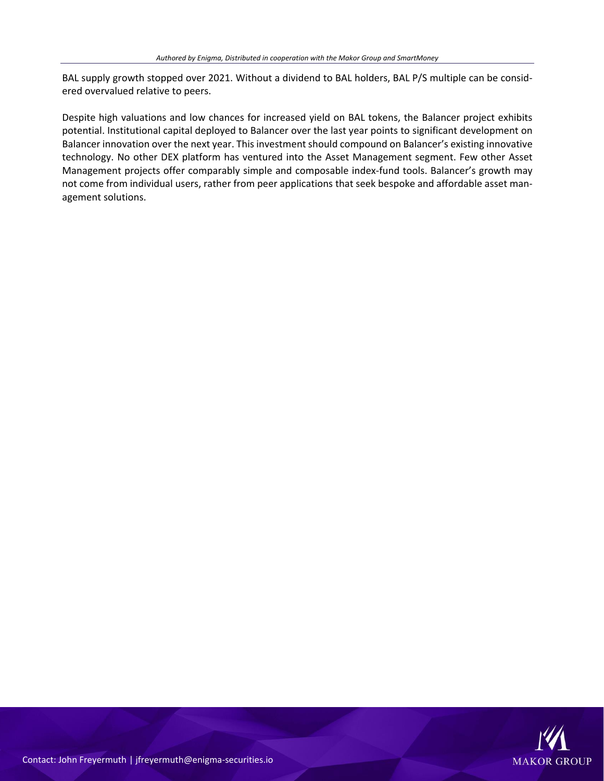BAL supply growth stopped over 2021. Without a dividend to BAL holders, BAL P/S multiple can be considered overvalued relative to peers.

Despite high valuations and low chances for increased yield on BAL tokens, the Balancer project exhibits potential. Institutional capital deployed to Balancer over the last year points to significant development on Balancer innovation over the next year. This investment should compound on Balancer's existing innovative technology. No other DEX platform has ventured into the Asset Management segment. Few other Asset Management projects offer comparably simple and composable index-fund tools. Balancer's growth may not come from individual users, rather from peer applications that seek bespoke and affordable asset management solutions.